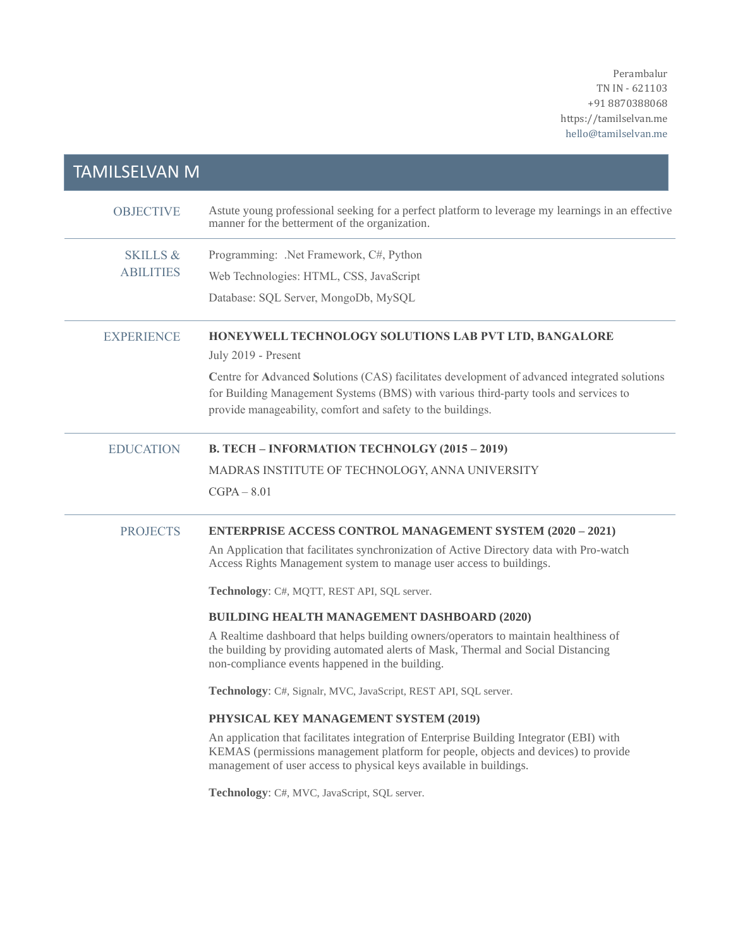Perambalur TN IN - 621103 +91 8870388068 https://tamilselvan.me hello@tamilselvan.me

| <b>TAMILSELVAN M</b>                    |                                                                                                                                                                                                                                                      |
|-----------------------------------------|------------------------------------------------------------------------------------------------------------------------------------------------------------------------------------------------------------------------------------------------------|
| <b>OBJECTIVE</b>                        | Astute young professional seeking for a perfect platform to leverage my learnings in an effective<br>manner for the betterment of the organization.                                                                                                  |
| <b>SKILLS &amp;</b><br><b>ABILITIES</b> | Programming: .Net Framework, C#, Python                                                                                                                                                                                                              |
|                                         | Web Technologies: HTML, CSS, JavaScript                                                                                                                                                                                                              |
|                                         | Database: SQL Server, MongoDb, MySQL                                                                                                                                                                                                                 |
| <b>EXPERIENCE</b>                       | HONEYWELL TECHNOLOGY SOLUTIONS LAB PVT LTD, BANGALORE<br>July 2019 - Present                                                                                                                                                                         |
|                                         | Centre for Advanced Solutions (CAS) facilitates development of advanced integrated solutions<br>for Building Management Systems (BMS) with various third-party tools and services to<br>provide manageability, comfort and safety to the buildings.  |
| <b>EDUCATION</b>                        | B. TECH - INFORMATION TECHNOLGY (2015 - 2019)                                                                                                                                                                                                        |
|                                         | MADRAS INSTITUTE OF TECHNOLOGY, ANNA UNIVERSITY                                                                                                                                                                                                      |
|                                         | $CGPA - 8.01$                                                                                                                                                                                                                                        |
| <b>PROJECTS</b>                         | <b>ENTERPRISE ACCESS CONTROL MANAGEMENT SYSTEM (2020 - 2021)</b>                                                                                                                                                                                     |
|                                         | An Application that facilitates synchronization of Active Directory data with Pro-watch<br>Access Rights Management system to manage user access to buildings.                                                                                       |
|                                         | Technology: C#, MQTT, REST API, SQL server.                                                                                                                                                                                                          |
|                                         | BUILDING HEALTH MANAGEMENT DASHBOARD (2020)                                                                                                                                                                                                          |
|                                         | A Realtime dashboard that helps building owners/operators to maintain healthiness of<br>the building by providing automated alerts of Mask, Thermal and Social Distancing<br>non-compliance events happened in the building.                         |
|                                         | Technology: C#, Signalr, MVC, JavaScript, REST API, SQL server.                                                                                                                                                                                      |
|                                         | PHYSICAL KEY MANAGEMENT SYSTEM (2019)                                                                                                                                                                                                                |
|                                         | An application that facilitates integration of Enterprise Building Integrator (EBI) with<br>KEMAS (permissions management platform for people, objects and devices) to provide<br>management of user access to physical keys available in buildings. |
|                                         | Technology: C#, MVC, JavaScript, SQL server.                                                                                                                                                                                                         |